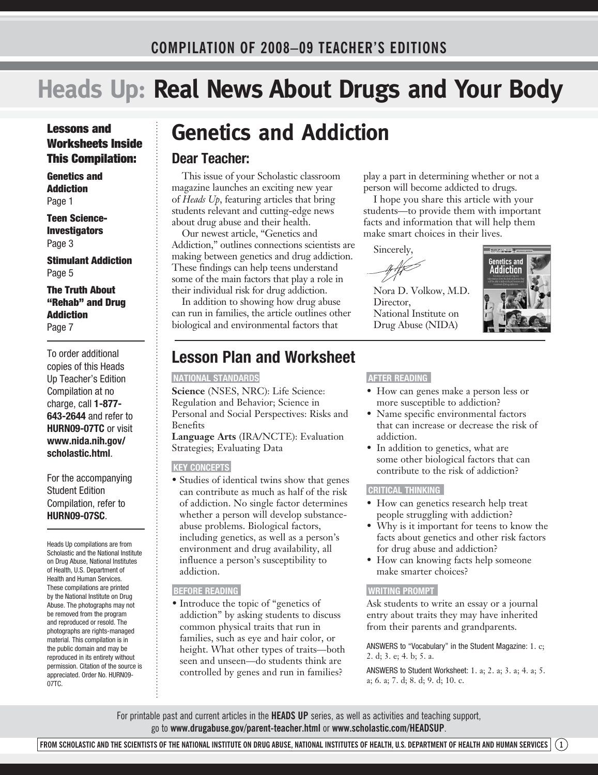## **Heads Up: Real News About Drugs and Your Body**

## Lessons and Worksheets Inside This Compilation:

Genetics and **Addiction** Page 1

Teen Science-Investigators Page 3

Stimulant Addiction Page 5

The Truth About "Rehab" and Drug Addiction Page 7

To order additional copies of this Heads Up Teacher's Edition Compilation at no charge, call **1-877- 643-2644** and refer to **HURN09-07TC** or visit **www.nida.nih.gov/ scholastic.html**.

For the accompanying Student Edition Compilation, refer to **HURN09-07SC**.

Heads Up compilations are from Scholastic and the National Institute on Drug Abuse, National Institutes of Health, U.S. Department of Health and Human Services. These compilations are printed by the National Institute on Drug Abuse. The photographs may not be removed from the program and reproduced or resold. The photographs are rights-managed material. This compilation is in the public domain and may be reproduced in its entirety without permission. Citation of the source is appreciated. Order No. HURN09- 07TC.

## **Genetics and Addiction**

## **Dear Teacher:**

This issue of your Scholastic classroom magazine launches an exciting new year of *Heads Up*, featuring articles that bring students relevant and cutting-edge news about drug abuse and their health.

Our newest article, "Genetics and Addiction," outlines connections scientists are making between genetics and drug addiction. These findings can help teens understand some of the main factors that play a role in their individual risk for drug addiction.

In addition to showing how drug abuse can run in families, the article outlines other biological and environmental factors that

## **Lesson Plan and Worksheet**

#### **NATIONAL STANDARDS**

**Science** (NSES, NRC): Life Science: Regulation and Behavior; Science in Personal and Social Perspectives: Risks and Benefits **Language Arts** (IRA/NCTE): Evaluation

Strategies; Evaluating Data

#### **KEY CONCEPTS**

• Studies of identical twins show that genes can contribute as much as half of the risk of addiction. No single factor determines whether a person will develop substanceabuse problems. Biological factors, including genetics, as well as a person's environment and drug availability, all influence a person's susceptibility to addiction.

#### **BEFORE READING**

• Introduce the topic of "genetics of addiction" by asking students to discuss common physical traits that run in families, such as eye and hair color, or height. What other types of traits—both seen and unseen—do students think are controlled by genes and run in families?

play a part in determining whether or not a person will become addicted to drugs.

I hope you share this article with your students—to provide them with important facts and information that will help them make smart choices in their lives.

Sincerely,

Nora D. Volkow, M.D. Director, National Institute on Drug Abuse (NIDA)



#### **AFTER READING**

- How can genes make a person less or more susceptible to addiction?
- Name specific environmental factors that can increase or decrease the risk of addiction.
- In addition to genetics, what are some other biological factors that can contribute to the risk of addiction?

### **CRITICAL THINKING**

- How can genetics research help treat people struggling with addiction?
- Why is it important for teens to know the facts about genetics and other risk factors for drug abuse and addiction?
- How can knowing facts help someone make smarter choices?

### **WRITING PROMPT**

Ask students to write an essay or a journal entry about traits they may have inherited from their parents and grandparents.

ANSWERS to "Vocabulary" in the Student Magazine: 1. c; 2. d; 3. e; 4. b; 5. a.

ANSWERS to Student Worksheet: 1. a; 2. a; 3. a; 4. a; 5. a; 6. a; 7. d; 8. d; 9. d; 10. c.

For printable past and current articles in the **HEADS UP** series, as well as activities and teaching support, go to **www.drugabuse.gov/parent-teacher.html** or **www.scholastic.com/headsup**.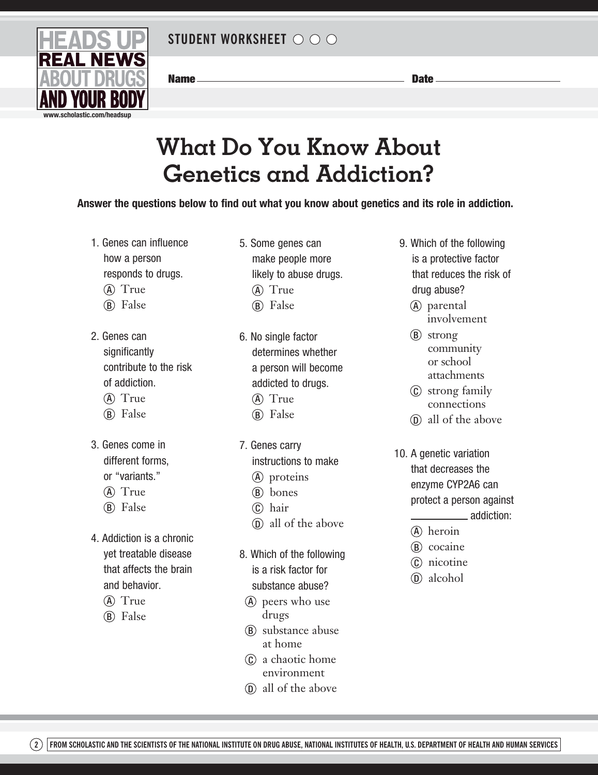

Name Date

## **What Do You Know About Genetics and Addiction?**

**Answer the questions below to find out what you know about genetics and its role in addiction.**

- 1. Genes can influence how a person responds to drugs.
	- (A) True
	- (B) False
- 2. Genes can significantly contribute to the risk of addiction. (A) True
	- (B) False
	-
- 3. Genes come in different forms, or "variants."
	- (A) True
	- (B) False
- 4. Addiction is a chronic yet treatable disease that affects the brain and behavior.
	- (A) True
	- (B) False
- 5. Some genes can make people more likely to abuse drugs. (A) True (B) False
- 6. No single factor determines whether a person will become addicted to drugs. (A) True
	- (B) False
- 7. Genes carry
	- instructions to make
	- (A) proteins
	- (B) bones
	- c hair
	- $\Omega$  all of the above
- 8. Which of the following is a risk factor for substance abuse?
	- a peers who use drugs
	- **b** substance abuse at home
	- c a chaotic home environment
	- $\Omega$  all of the above
- 9. Which of the following is a protective factor that reduces the risk of drug abuse?
	- (A) parental involvement
	- (B) strong community or school attachments
	- c strong family connections
	- $\Omega$  all of the above
- 10. A genetic variation that decreases the enzyme CYP2A6 can protect a person against addiction:
	- $(\widehat{A})$  heroin
	- (B) cocaine
	- c nicotine
	- $\circled{D}$  alcohol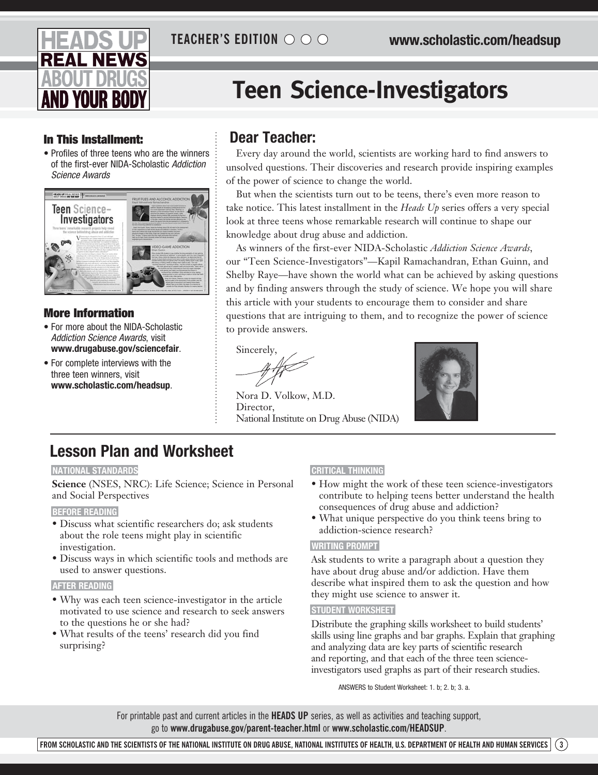

# **Teen Science-Investigators**

## In This Installment: **Dear Teacher:**

• Profiles of three teens who are the winners of the first-ever NIDA-Scholastic *Addiction Science Awards*



## More Information

- For more about the NIDA-Scholastic *Addiction Science Awards*, visit **www.drugabuse.gov/sciencefair**.
- For complete interviews with the three teen winners, visit **www.scholastic.com/headsup**.

Every day around the world, scientists are working hard to find answers to unsolved questions. Their discoveries and research provide inspiring examples of the power of science to change the world.

But when the scientists turn out to be teens, there's even more reason to take notice. This latest installment in the *Heads Up* series offers a very special look at three teens whose remarkable research will continue to shape our knowledge about drug abuse and addiction.

As winners of the first-ever NIDA-Scholastic *Addiction Science Awards*, our "Teen Science-Investigators"—Kapil Ramachandran, Ethan Guinn, and Shelby Raye—have shown the world what can be achieved by asking questions and by finding answers through the study of science. We hope you will share this article with your students to encourage them to consider and share questions that are intriguing to them, and to recognize the power of science to provide answers.

Sincerely,

Nora D. Volkow, M.D. Director, National Institute on Drug Abuse (NIDA)



## **Lesson Plan and Worksheet**

## **NATIONAL STANDARDS**

**Science** (NSES, NRC): Life Science; Science in Personal and Social Perspectives

## **BEFORE READING**

- Discuss what scientific researchers do; ask students about the role teens might play in scientific investigation.
- Discuss ways in which scientific tools and methods are used to answer questions.

### **AFTER READING**

- Why was each teen science-investigator in the article motivated to use science and research to seek answers to the questions he or she had?
- What results of the teens' research did you find surprising?

## **CRITICAL THINKING**

- How might the work of these teen science-investigators contribute to helping teens better understand the health consequences of drug abuse and addiction?
- What unique perspective do you think teens bring to addiction-science research?

## **WRITING PROMPT**

Ask students to write a paragraph about a question they have about drug abuse and/or addiction. Have them describe what inspired them to ask the question and how they might use science to answer it.

### **STUDENT WORKSHEET**

Distribute the graphing skills worksheet to build students' skills using line graphs and bar graphs. Explain that graphing and analyzing data are key parts of scientific research and reporting, and that each of the three teen scienceinvestigators used graphs as part of their research studies.

ANSWERS to Student Worksheet: 1. b; 2. b; 3. a.

For printable past and current articles in the **HEADS UP** series, as well as activities and teaching support, go to **www.drugabuse.gov/parent-teacher.html** or **www.scholastic.com/headsup**.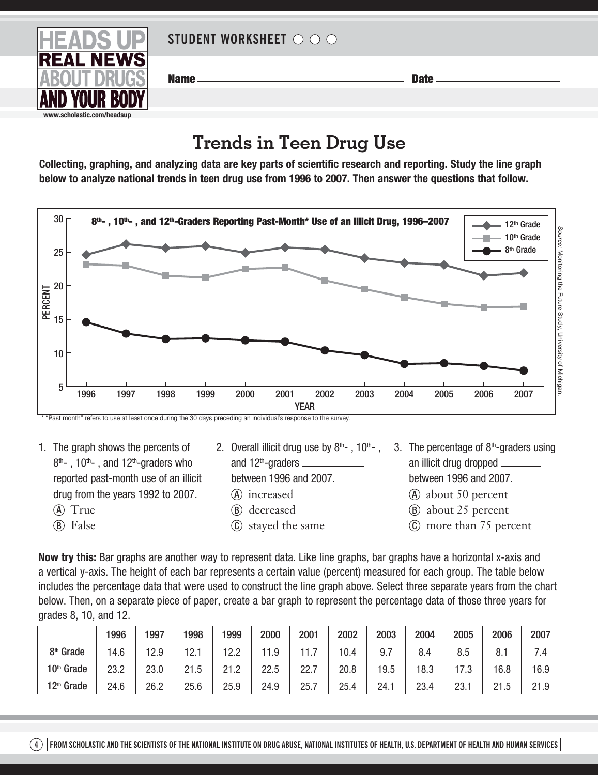

20

Name Date

## **Trends in Teen Drug Use**

**Collecting, graphing, and analyzing data are key parts of scientific research and reporting. Study the line graph below to analyze national trends in teen drug use from 1996 to 2007. Then answer the questions that follow.**



1. The graph shows the percents of  $8<sup>th</sup>$ -, 10<sup>th</sup>-, and 12<sup>th</sup>-graders who reported past-month use of an illicit drug from the years 1992 to 2007. (A) True

(B) False

- 2. Overall illicit drug use by  $8<sup>th</sup>$ , 10<sup>th</sup>-, and  $12<sup>th</sup>$ -graders  $$ 
	- between 1996 and 2007.
	- (A) increased
	- (B) decreased
	- C stayed the same
- 3. The percentage of  $8<sup>th</sup>$ -graders using an illicit drug dropped between 1996 and 2007.
	- **A** about 50 percent
	- **B** about 25 percent
	- $\odot$  more than 75 percent

**Now try this:** Bar graphs are another way to represent data. Like line graphs, bar graphs have a horizontal x-axis and a vertical y-axis. The height of each bar represents a certain value (percent) measured for each group. The table below includes the percentage data that were used to construct the line graph above. Select three separate years from the chart below. Then, on a separate piece of paper, create a bar graph to represent the percentage data of those three years for grades 8, 10, and 12.

|                        | 1996 | 1997 | 1998 | 1999 | 2000 | 2001    | 2002 | 2003 | 2004 | 2005 | 2006 | 2007 |
|------------------------|------|------|------|------|------|---------|------|------|------|------|------|------|
| 8 <sup>th</sup> Grade  | 14.6 | 12.9 | 12.  | 12.2 | 1.9  | 11<br>. | 10.4 | 9.7  | 8.4  | 8.5  | 8.   | 7.4  |
| 10th Grade             | 23.2 | 23.0 | 21.5 | 21.2 | 22.5 | 22.7    | 20.8 | 19.5 | 18.3 | 17 2 | 16.8 | 16.9 |
| 12 <sup>th</sup> Grade | 24.6 | 26.2 | 25.6 | 25.9 | 24.9 | 25.7    | 25.4 | 24.1 | 23.4 | 23.1 | 21.5 | 21.9 |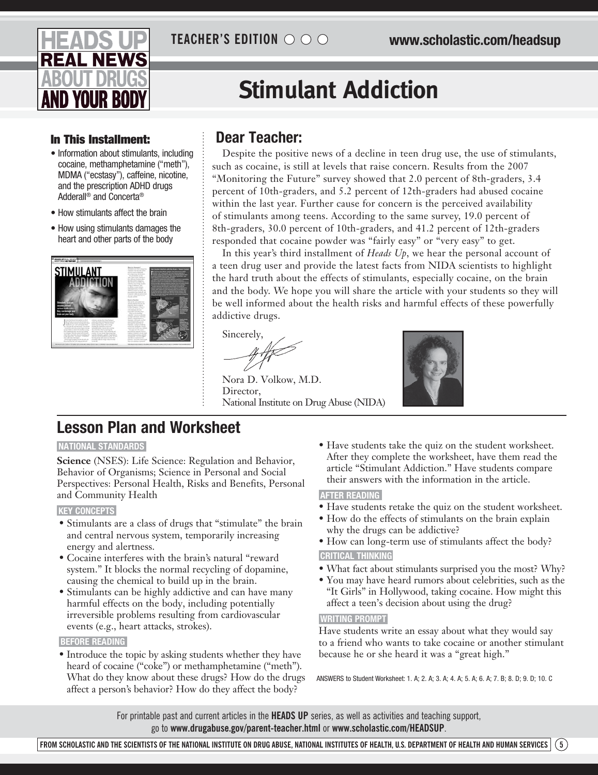

# **Stimulant Addiction**

## In This Installment: **Dear Teacher:**

- • Information about stimulants, including cocaine, methamphetamine ("meth"), MDMA ("ecstasy"), caffeine, nicotine, and the prescription ADHD drugs Adderall® and Concerta®
- How stimulants affect the brain
- How using stimulants damages the heart and other parts of the body



Despite the positive news of a decline in teen drug use, the use of stimulants, such as cocaine, is still at levels that raise concern. Results from the 2007 "Monitoring the Future" survey showed that 2.0 percent of 8th-graders, 3.4 percent of 10th-graders, and 5.2 percent of 12th-graders had abused cocaine within the last year. Further cause for concern is the perceived availability of stimulants among teens. According to the same survey, 19.0 percent of 8th-graders, 30.0 percent of 10th-graders, and 41.2 percent of 12th-graders responded that cocaine powder was "fairly easy" or "very easy" to get.

In this year's third installment of *Heads Up*, we hear the personal account of a teen drug user and provide the latest facts from NIDA scientists to highlight the hard truth about the effects of stimulants, especially cocaine, on the brain and the body. We hope you will share the article with your students so they will be well informed about the health risks and harmful effects of these powerfully addictive drugs.

Sincerely,

Nora D. Volkow, M.D. Director, National Institute on Drug Abuse (NIDA)



## **Lesson Plan and Worksheet**

## **NATIONAL STANDARDS**

**Science** (NSES): Life Science: Regulation and Behavior, Behavior of Organisms; Science in Personal and Social Perspectives: Personal Health, Risks and Benefits, Personal and Community Health

#### **KEY CONCEPTS**

- Stimulants are a class of drugs that "stimulate" the brain and central nervous system, temporarily increasing energy and alertness.
- Cocaine interferes with the brain's natural "reward system." It blocks the normal recycling of dopamine, causing the chemical to build up in the brain.
- Stimulants can be highly addictive and can have many harmful effects on the body, including potentially irreversible problems resulting from cardiovascular events (e.g., heart attacks, strokes).

#### **BEFORE READING**

• Introduce the topic by asking students whether they have heard of cocaine ("coke") or methamphetamine ("meth"). What do they know about these drugs? How do the drugs affect a person's behavior? How do they affect the body?

• Have students take the quiz on the student worksheet. After they complete the worksheet, have them read the article "Stimulant Addiction." Have students compare their answers with the information in the article.

### **AFTER READING**

- Have students retake the quiz on the student worksheet.
- How do the effects of stimulants on the brain explain why the drugs can be addictive?
- How can long-term use of stimulants affect the body? **CRITICAL THINKING**
- What fact about stimulants surprised you the most? Why?
- You may have heard rumors about celebrities, such as the "It Girls" in Hollywood, taking cocaine. How might this affect a teen's decision about using the drug?

### **WRITING PROMPT**

Have students write an essay about what they would say to a friend who wants to take cocaine or another stimulant because he or she heard it was a "great high."

ANSWERS to Student Worksheet: 1. A; 2. A; 3. A; 4. A; 5. A; 6. A; 7. B; 8. D; 9. D; 10. C

For printable past and current articles in the **HEADS UP** series, as well as activities and teaching support, go to **www.drugabuse.gov/parent-teacher.html** or **www.scholastic.com/headsup**.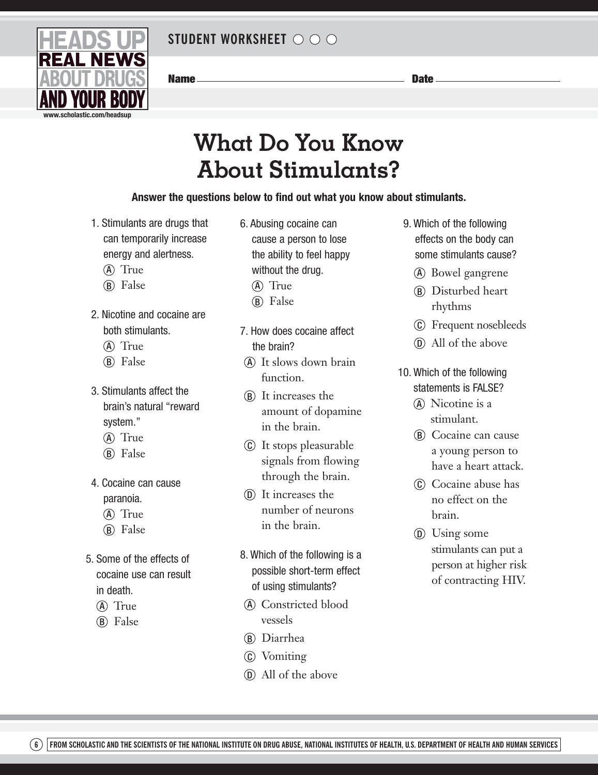

Name Date

# **What Do You Know About Stimulants?**

## **Answer the questions below to find out what you know about stimulants.**

- 1. Stimulants are drugs that can temporarily increase energy and alertness.
	- (A) True
	- (B) False
- 2. Nicotine and cocaine are both stimulants.
	- (A) True
	- (B) False
- 3. Stimulants affect the brain's natural "reward system."
	- (A) True
	- (B) False
- 4. Cocaine can cause paranoia.
	- (A) True
	- (B) False
- 5. Some of the effects of cocaine use can result in death.
	- (A) True
	- (B) False
- 6. Abusing cocaine can cause a person to lose the ability to feel happy without the drug.
	- (A) True
	- (B) False
- 7. How does cocaine affect the brain?
- a It slows down brain function.
- **b** It increases the amount of dopamine in the brain.
- $\odot$  It stops pleasurable signals from flowing through the brain.
- (n) It increases the number of neurons in the brain.
- 8. Which of the following is a possible short-term effect of using stimulants?
	- a Constricted blood vessels
	- b Diarrhea
	- c Vomiting
	- $\Omega$  All of the above
- 9. Which of the following effects on the body can some stimulants cause?
	- (A) Bowel gangrene
	- (B) Disturbed heart rhythms
	- c Frequent nosebleeds
	- $\Omega$  All of the above
- 10. Which of the following statements is FALSE?
	- (A) Nicotine is a stimulant.
	- **(B)** Cocaine can cause a young person to have a heart attack.
	- c Cocaine abuse has no effect on the brain.
	- $\circled{D}$  Using some stimulants can put a person at higher risk of contracting HIV.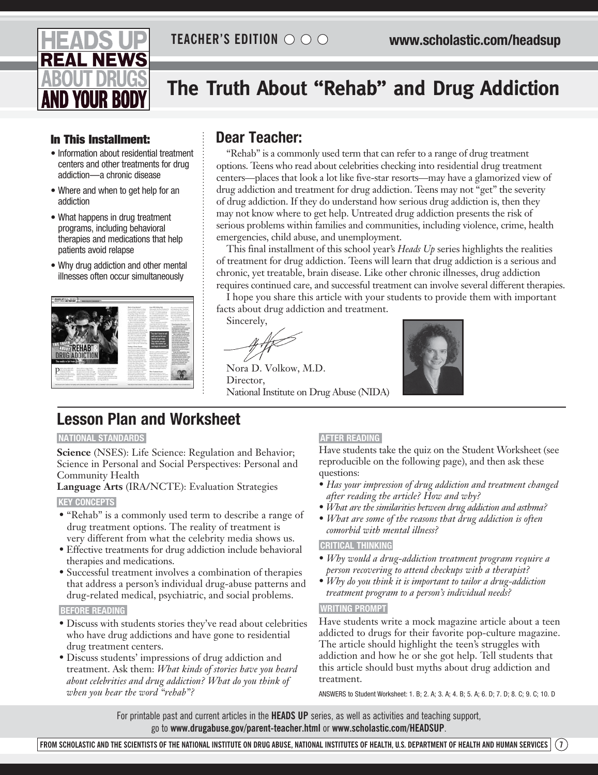

## **The Truth About "Rehab" and Drug Addiction**

## In This Installment: **Dear Teacher:**

- • Information about residential treatment centers and other treatments for drug addiction—a chronic disease
- Where and when to get help for an addiction
- • What happens in drug treatment programs, including behavioral therapies and medications that help patients avoid relapse
- Why drug addiction and other mental illnesses often occur simultaneously



"Rehab" is a commonly used term that can refer to a range of drug treatment options. Teens who read about celebrities checking into residential drug treatment centers—places that look a lot like five-star resorts—may have a glamorized view of drug addiction and treatment for drug addiction. Teens may not "get" the severity of drug addiction. If they do understand how serious drug addiction is, then they may not know where to get help. Untreated drug addiction presents the risk of serious problems within families and communities, including violence, crime, health emergencies, child abuse, and unemployment.

This final installment of this school year's *Heads Up* series highlights the realities of treatment for drug addiction. Teens will learn that drug addiction is a serious and chronic, yet treatable, brain disease. Like other chronic illnesses, drug addiction requires continued care, and successful treatment can involve several different therapies.

I hope you share this article with your students to provide them with important facts about drug addiction and treatment.

Sincerely,

Nora D. Volkow, M.D. Director, National Institute on Drug Abuse (NIDA)



## **Lesson Plan and Worksheet**

#### **NATIONAL STANDARDS**

**Science** (NSES): Life Science: Regulation and Behavior; Science in Personal and Social Perspectives: Personal and Community Health

**Language Arts** (IRA/NCTE): Evaluation Strategies **KEY CONCEPTS** 

- "Rehab" is a commonly used term to describe a range of drug treatment options. The reality of treatment is very different from what the celebrity media shows us.
- Effective treatments for drug addiction include behavioral therapies and medications.
- Successful treatment involves a combination of therapies that address a person's individual drug-abuse patterns and drug-related medical, psychiatric, and social problems.

#### **BEFORE READING**

- Discuss with students stories they've read about celebrities who have drug addictions and have gone to residential drug treatment centers.
- Discuss students' impressions of drug addiction and treatment. Ask them: *What kinds of stories have you heard about celebrities and drug addiction? What do you think of when you hear the word "rehab"?*

## **AFTER READING**

Have students take the quiz on the Student Worksheet (see reproducible on the following page), and then ask these questions:

- *Has your impression of drug addiction and treatment changed after reading the article? How and why?*
- *What are the similarities between drug addiction and asthma?*
- *What are some of the reasons that drug addiction is often comorbid with mental illness?*

### **CRITICAL THINKING**

- *Why would a drug-addiction treatment program require a person recovering to attend checkups with a therapist?*
- *Why do you think it is important to tailor a drug-addiction treatment program to a person's individual needs?*

### **WRITING PROMPT**

Have students write a mock magazine article about a teen addicted to drugs for their favorite pop-culture magazine. The article should highlight the teen's struggles with addiction and how he or she got help. Tell students that this article should bust myths about drug addiction and treatment.

ANSWERS to Student Worksheet: 1. B; 2. A; 3. A; 4. B; 5. A; 6. D; 7. D; 8. C; 9. C; 10. D

For printable past and current articles in the **HEADS UP** series, as well as activities and teaching support, go to **www.drugabuse.gov/parent-teacher.html** or **www.scholastic.com/headsup**.